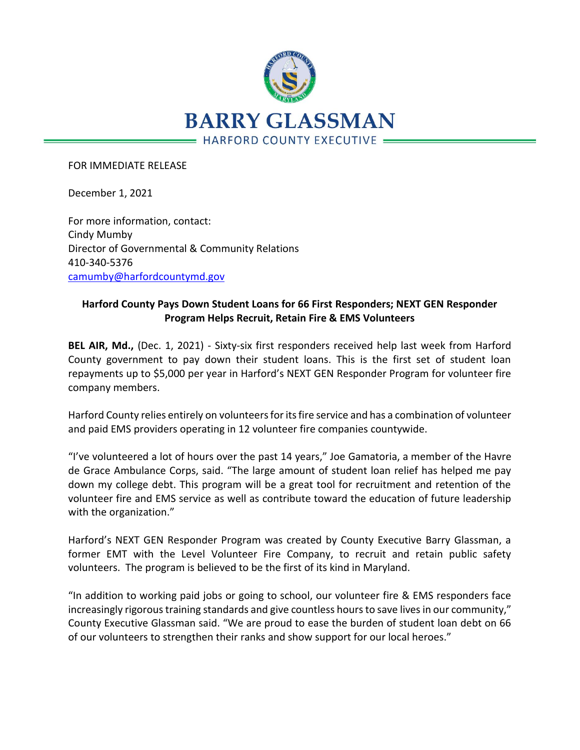

FOR IMMEDIATE RELEASE

December 1, 2021

For more information, contact: Cindy Mumby Director of Governmental & Community Relations 410-340-5376 [camumby@harfordcountymd.gov](mailto:camumby@harfordcountymd.gov)

## **Harford County Pays Down Student Loans for 66 First Responders; NEXT GEN Responder Program Helps Recruit, Retain Fire & EMS Volunteers**

**BEL AIR, Md.,** (Dec. 1, 2021) - Sixty-six first responders received help last week from Harford County government to pay down their student loans. This is the first set of student loan repayments up to \$5,000 per year in Harford's NEXT GEN Responder Program for volunteer fire company members.

Harford County relies entirely on volunteers for its fire service and has a combination of volunteer and paid EMS providers operating in 12 volunteer fire companies countywide.

"I've volunteered a lot of hours over the past 14 years," Joe Gamatoria, a member of the Havre de Grace Ambulance Corps, said. "The large amount of student loan relief has helped me pay down my college debt. This program will be a great tool for recruitment and retention of the volunteer fire and EMS service as well as contribute toward the education of future leadership with the organization."

Harford's NEXT GEN Responder Program was created by County Executive Barry Glassman, a former EMT with the Level Volunteer Fire Company, to recruit and retain public safety volunteers. The program is believed to be the first of its kind in Maryland.

"In addition to working paid jobs or going to school, our volunteer fire & EMS responders face increasingly rigorous training standards and give countless hours to save lives in our community," County Executive Glassman said. "We are proud to ease the burden of student loan debt on 66 of our volunteers to strengthen their ranks and show support for our local heroes."